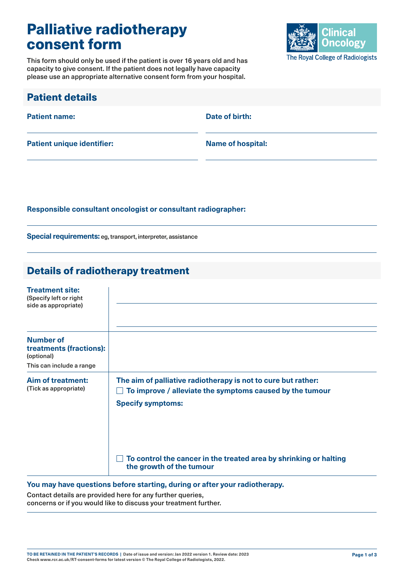# Palliative radiotherapy consent form

This form should only be used if the patient is over 16 years old and has capacity to give consent. If the patient does not legally have capacity please use an appropriate alternative consent form from your hospital.



| <b>Patient details</b>            |                          |
|-----------------------------------|--------------------------|
| <b>Patient name:</b>              | Date of birth:           |
| <b>Patient unique identifier:</b> | <b>Name of hospital:</b> |

**Responsible consultant oncologist or consultant radiographer:**

**Special requirements:** eg, transport, interpreter, assistance

### Details of radiotherapy treatment

| <b>Treatment site:</b><br>(Specify left or right<br>side as appropriate) |                                                                                                                           |
|--------------------------------------------------------------------------|---------------------------------------------------------------------------------------------------------------------------|
|                                                                          |                                                                                                                           |
| <b>Number of</b><br>treatments (fractions):<br>(optional)                |                                                                                                                           |
| This can include a range                                                 |                                                                                                                           |
| <b>Aim of treatment:</b><br>(Tick as appropriate)                        | The aim of palliative radiotherapy is not to cure but rather:<br>To improve / alleviate the symptoms caused by the tumour |
|                                                                          | <b>Specify symptoms:</b>                                                                                                  |
|                                                                          |                                                                                                                           |
|                                                                          |                                                                                                                           |
|                                                                          | To control the cancer in the treated area by shrinking or halting<br>the growth of the tumour                             |

#### **You may have questions before starting, during or after your radiotherapy.**

Contact details are provided here for any further queries, concerns or if you would like to discuss your treatment further.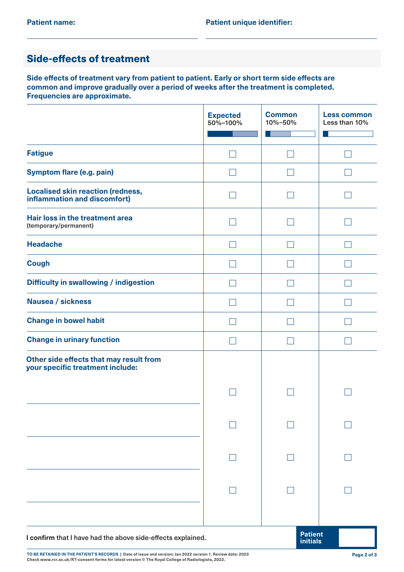### Side-effects of treatment

**Side effects of treatment vary from patient to patient. Early or short term side effects are common and improve gradually over a period of weeks after the treatment is completed. Frequencies are approximate.** 

|                                                                             | <b>Expected</b><br>50%-100% | <b>Common</b><br>10%-50%          | <b>Less common</b><br>Less than 10% |
|-----------------------------------------------------------------------------|-----------------------------|-----------------------------------|-------------------------------------|
|                                                                             |                             |                                   |                                     |
| <b>Fatigue</b>                                                              |                             |                                   |                                     |
| <b>Symptom flare (e.g. pain)</b>                                            |                             |                                   |                                     |
| Localised skin reaction (redness,<br>inflammation and discomfort)           |                             |                                   |                                     |
| Hair loss in the treatment area<br>(temporary/permanent)                    |                             |                                   |                                     |
| <b>Headache</b>                                                             |                             |                                   |                                     |
| <b>Cough</b>                                                                |                             |                                   |                                     |
| <b>Difficulty in swallowing / indigestion</b>                               |                             |                                   |                                     |
| <b>Nausea / sickness</b>                                                    |                             |                                   |                                     |
| <b>Change in bowel habit</b>                                                |                             |                                   |                                     |
| <b>Change in urinary function</b>                                           |                             |                                   |                                     |
| Other side effects that may result from<br>your specific treatment include: |                             |                                   |                                     |
|                                                                             |                             |                                   |                                     |
|                                                                             |                             |                                   |                                     |
|                                                                             |                             |                                   |                                     |
|                                                                             |                             |                                   |                                     |
|                                                                             |                             |                                   |                                     |
| I confirm that I have had the above side-effects explained.                 |                             | <b>Patient</b><br><b>initials</b> |                                     |

**TO BE RETAINED IN THE PATIENT'S RECORDS | Date of issue and version: Jan 2022 version 1. Review date: 2023 Check [www.rcr.ac.uk/RT-consent-forms](http://www.rcr.ac.uk/RT-consent-forms) for latest version © The Royal College of Radiologists, 2022.**